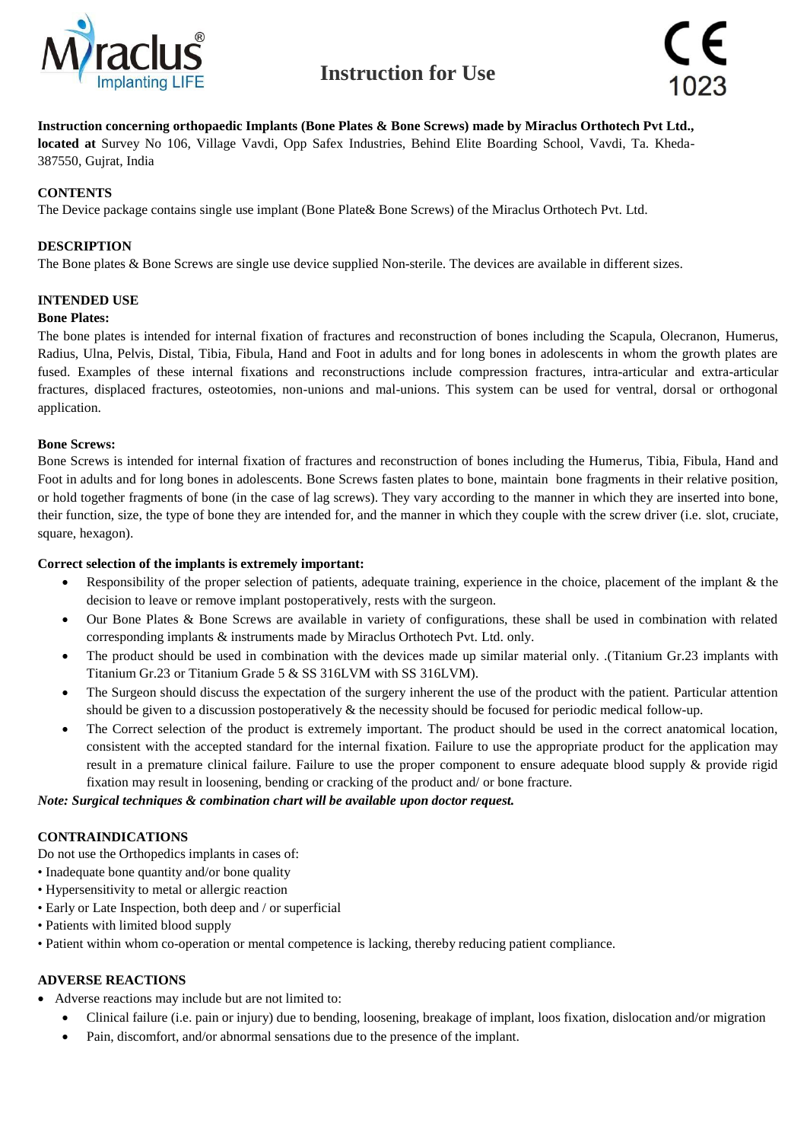



#### **Instruction concerning orthopaedic Implants (Bone Plates & Bone Screws) made by Miraclus Orthotech Pvt Ltd.,**

**located at** Survey No 106, Village Vavdi, Opp Safex Industries, Behind Elite Boarding School, Vavdi, Ta. Kheda-387550, Gujrat, India

#### **CONTENTS**

The Device package contains single use implant (Bone Plate& Bone Screws) of the Miraclus Orthotech Pvt. Ltd.

#### **DESCRIPTION**

The Bone plates & Bone Screws are single use device supplied Non-sterile. The devices are available in different sizes.

#### **INTENDED USE**

#### **Bone Plates:**

The bone plates is intended for internal fixation of fractures and reconstruction of bones including the Scapula, Olecranon, Humerus, Radius, Ulna, Pelvis, Distal, Tibia, Fibula, Hand and Foot in adults and for long bones in adolescents in whom the growth plates are fused. Examples of these internal fixations and reconstructions include compression fractures, intra-articular and extra-articular fractures, displaced fractures, osteotomies, non-unions and mal-unions. This system can be used for ventral, dorsal or orthogonal application.

#### **Bone Screws:**

Bone Screws is intended for internal fixation of fractures and reconstruction of bones including the Humerus, Tibia, Fibula, Hand and Foot in adults and for long bones in adolescents. Bone Screws fasten plates to bone, maintain bone fragments in their relative position, or hold together fragments of bone (in the case of lag screws). They vary according to the manner in which they are inserted into bone, their function, size, the type of bone they are intended for, and the manner in which they couple with the screw driver (i.e. slot, cruciate, square, hexagon).

#### **Correct selection of the implants is extremely important:**

- Responsibility of the proper selection of patients, adequate training, experience in the choice, placement of the implant & the decision to leave or remove implant postoperatively, rests with the surgeon.
- Our Bone Plates & Bone Screws are available in variety of configurations, these shall be used in combination with related corresponding implants & instruments made by Miraclus Orthotech Pvt. Ltd. only.
- The product should be used in combination with the devices made up similar material only. .(Titanium Gr.23 implants with Titanium Gr.23 or Titanium Grade 5 & SS 316LVM with SS 316LVM).
- The Surgeon should discuss the expectation of the surgery inherent the use of the product with the patient. Particular attention should be given to a discussion postoperatively & the necessity should be focused for periodic medical follow-up.
- The Correct selection of the product is extremely important. The product should be used in the correct anatomical location, consistent with the accepted standard for the internal fixation. Failure to use the appropriate product for the application may result in a premature clinical failure. Failure to use the proper component to ensure adequate blood supply & provide rigid fixation may result in loosening, bending or cracking of the product and/ or bone fracture.

#### *Note: Surgical techniques & combination chart will be available upon doctor request.*

#### **CONTRAINDICATIONS**

Do not use the Orthopedics implants in cases of:

- Inadequate bone quantity and/or bone quality
- Hypersensitivity to metal or allergic reaction
- Early or Late Inspection, both deep and / or superficial
- Patients with limited blood supply
- Patient within whom co-operation or mental competence is lacking, thereby reducing patient compliance.

#### **ADVERSE REACTIONS**

- Adverse reactions may include but are not limited to:
	- Clinical failure (i.e. pain or injury) due to bending, loosening, breakage of implant, loos fixation, dislocation and/or migration
	- Pain, discomfort, and/or abnormal sensations due to the presence of the implant.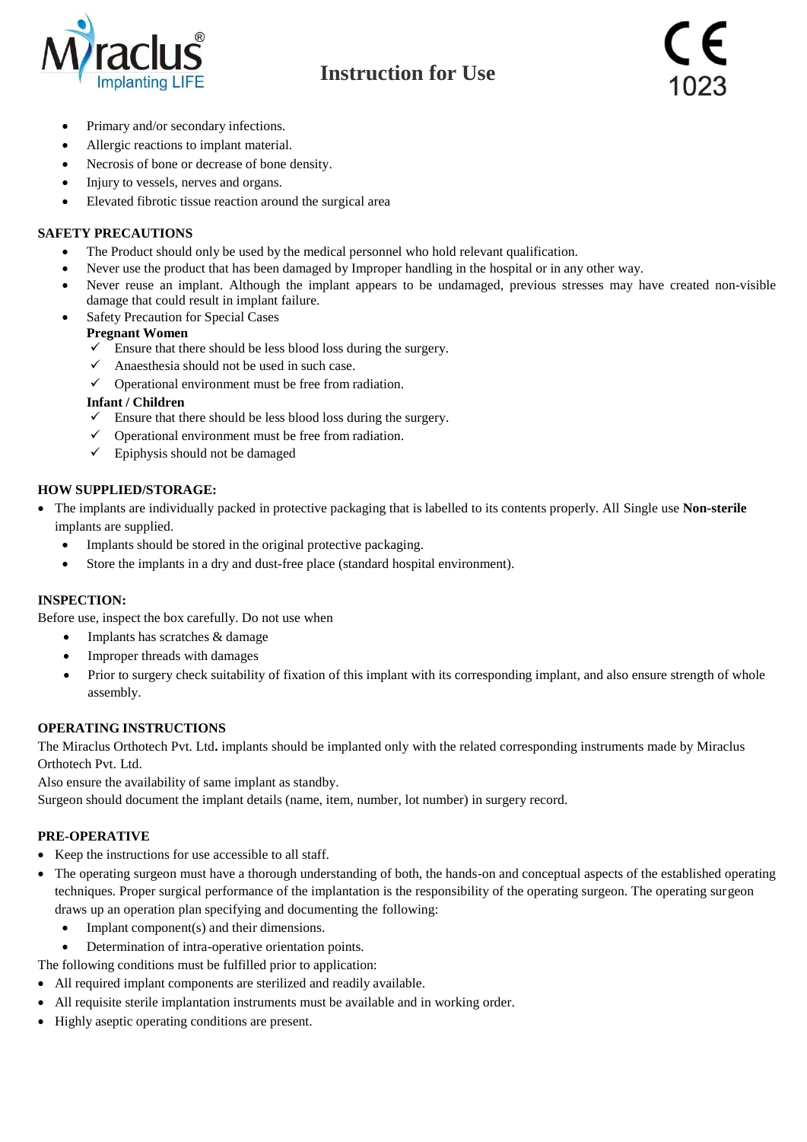

- Primary and/or secondary infections.
- Allergic reactions to implant material.
- Necrosis of bone or decrease of bone density.
- Injury to vessels, nerves and organs.
- Elevated fibrotic tissue reaction around the surgical area

## **SAFETY PRECAUTIONS**

- The Product should only be used by the medical personnel who hold relevant qualification.
- Never use the product that has been damaged by Improper handling in the hospital or in any other way.
- Never reuse an implant. Although the implant appears to be undamaged, previous stresses may have created non-visible damage that could result in implant failure.
- Safety Precaution for Special Cases

#### **Pregnant Women**

- $\checkmark$  Ensure that there should be less blood loss during the surgery.
- $\checkmark$  Anaesthesia should not be used in such case.
- $\checkmark$  Operational environment must be free from radiation.

#### **Infant / Children**

- $\checkmark$  Ensure that there should be less blood loss during the surgery.
- Operational environment must be free from radiation.
- $\checkmark$  Epiphysis should not be damaged

### **HOW SUPPLIED/STORAGE:**

- The implants are individually packed in protective packaging that is labelled to its contents properly. All Single use **Non-sterile** implants are supplied.
	- Implants should be stored in the original protective packaging.
	- Store the implants in a dry and dust-free place (standard hospital environment).

### **INSPECTION:**

Before use, inspect the box carefully. Do not use when

- Implants has scratches & damage
- Improper threads with damages
- Prior to surgery check suitability of fixation of this implant with its corresponding implant, and also ensure strength of whole assembly.

### **OPERATING INSTRUCTIONS**

The Miraclus Orthotech Pvt. Ltd**.** implants should be implanted only with the related corresponding instruments made by Miraclus Orthotech Pvt. Ltd.

Also ensure the availability of same implant as standby.

Surgeon should document the implant details (name, item, number, lot number) in surgery record.

### **PRE-OPERATIVE**

- Keep the instructions for use accessible to all staff.
- The operating surgeon must have a thorough understanding of both, the hands-on and conceptual aspects of the established operating techniques. Proper surgical performance of the implantation is the responsibility of the operating surgeon. The operating surgeon draws up an operation plan specifying and documenting the following:
	- Implant component(s) and their dimensions.
	- Determination of intra-operative orientation points.

The following conditions must be fulfilled prior to application:

- All required implant components are sterilized and readily available.
- All requisite sterile implantation instruments must be available and in working order.
- Highly aseptic operating conditions are present.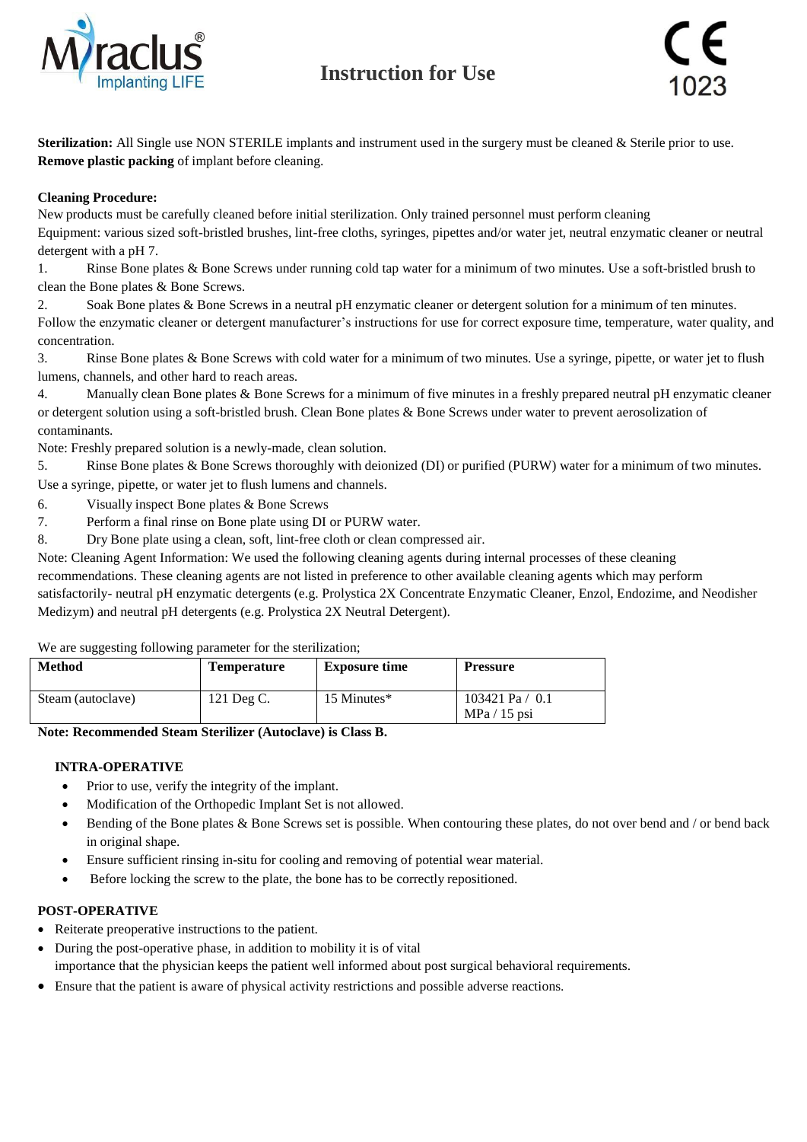

**Sterilization:** All Single use NON STERILE implants and instrument used in the surgery must be cleaned & Sterile prior to use. **Remove plastic packing** of implant before cleaning.

## **Cleaning Procedure:**

New products must be carefully cleaned before initial sterilization. Only trained personnel must perform cleaning

Equipment: various sized soft-bristled brushes, lint-free cloths, syringes, pipettes and/or water jet, neutral enzymatic cleaner or neutral detergent with a pH 7.

1. Rinse Bone plates & Bone Screws under running cold tap water for a minimum of two minutes. Use a soft-bristled brush to clean the Bone plates & Bone Screws.

2. Soak Bone plates & Bone Screws in a neutral pH enzymatic cleaner or detergent solution for a minimum of ten minutes. Follow the enzymatic cleaner or detergent manufacturer's instructions for use for correct exposure time, temperature, water quality, and concentration.

3. Rinse Bone plates & Bone Screws with cold water for a minimum of two minutes. Use a syringe, pipette, or water jet to flush lumens, channels, and other hard to reach areas.

4. Manually clean Bone plates & Bone Screws for a minimum of five minutes in a freshly prepared neutral pH enzymatic cleaner or detergent solution using a soft-bristled brush. Clean Bone plates & Bone Screws under water to prevent aerosolization of contaminants.

Note: Freshly prepared solution is a newly-made, clean solution.

5. Rinse Bone plates & Bone Screws thoroughly with deionized (DI) or purified (PURW) water for a minimum of two minutes. Use a syringe, pipette, or water jet to flush lumens and channels.

- 6. Visually inspect Bone plates & Bone Screws
- 7. Perform a final rinse on Bone plate using DI or PURW water.
- 8. Dry Bone plate using a clean, soft, lint-free cloth or clean compressed air.

Note: Cleaning Agent Information: We used the following cleaning agents during internal processes of these cleaning

recommendations. These cleaning agents are not listed in preference to other available cleaning agents which may perform satisfactorily- neutral pH enzymatic detergents (e.g. Prolystica 2X Concentrate Enzymatic Cleaner, Enzol, Endozime, and Neodisher Medizym) and neutral pH detergents (e.g. Prolystica 2X Neutral Detergent).

### We are suggesting following parameter for the sterilization:

| <b>Method</b>     | <b>Temperature</b> | <b>Exposure time</b> | <b>Pressure</b>                     |  |
|-------------------|--------------------|----------------------|-------------------------------------|--|
| Steam (autoclave) | $121$ Deg C.       | 15 Minutes*          | 103421 Pa $/$ 0.1<br>$MPa / 15$ psi |  |

### **Note: Recommended Steam Sterilizer (Autoclave) is Class B.**

## **INTRA-OPERATIVE**

- Prior to use, verify the integrity of the implant.
- Modification of the Orthopedic Implant Set is not allowed.
- $\bullet$  Bending of the Bone plates & Bone Screws set is possible. When contouring these plates, do not over bend and / or bend back in original shape.
- Ensure sufficient rinsing in-situ for cooling and removing of potential wear material.
- Before locking the screw to the plate, the bone has to be correctly repositioned.

## **POST-OPERATIVE**

- Reiterate preoperative instructions to the patient.
- During the post-operative phase, in addition to mobility it is of vital importance that the physician keeps the patient well informed about post surgical behavioral requirements.
- Ensure that the patient is aware of physical activity restrictions and possible adverse reactions.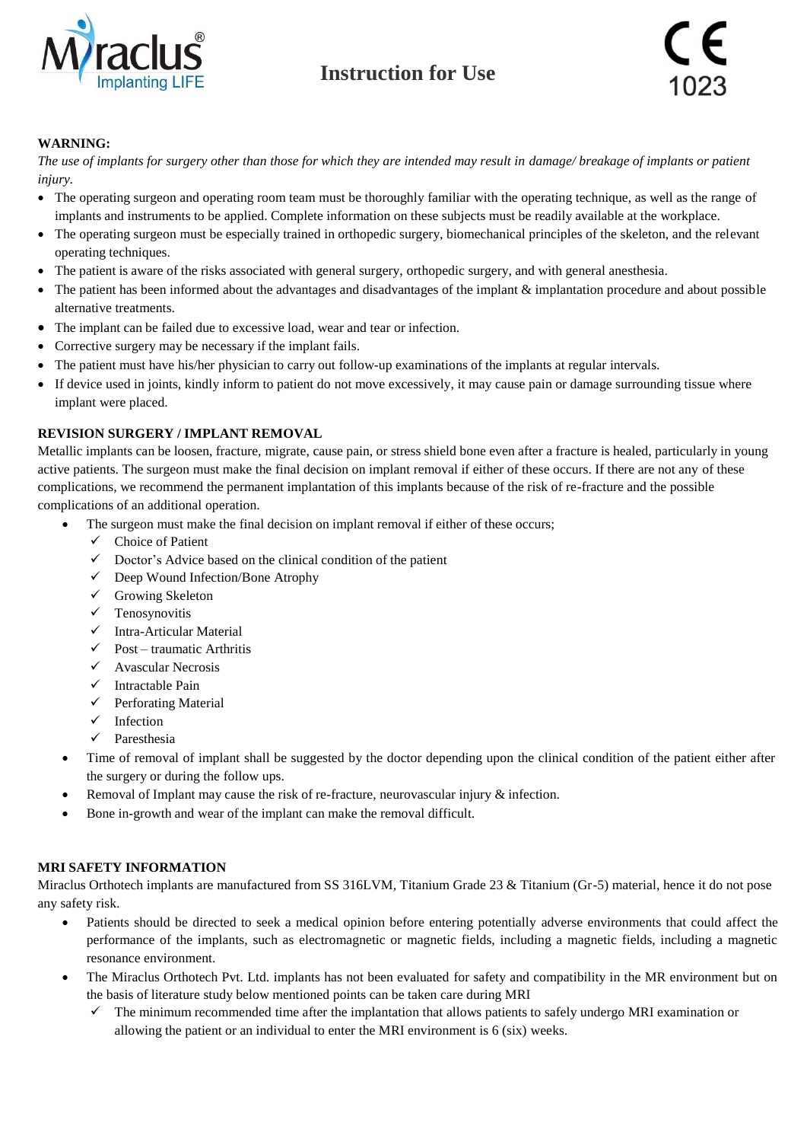

## **WARNING:**

*The use of implants for surgery other than those for which they are intended may result in damage/ breakage of implants or patient injury.*

- The operating surgeon and operating room team must be thoroughly familiar with the operating technique, as well as the range of implants and instruments to be applied. Complete information on these subjects must be readily available at the workplace.
- The operating surgeon must be especially trained in orthopedic surgery, biomechanical principles of the skeleton, and the relevant operating techniques.
- The patient is aware of the risks associated with general surgery, orthopedic surgery, and with general anesthesia.
- The patient has been informed about the advantages and disadvantages of the implant & implantation procedure and about possible alternative treatments.
- The implant can be failed due to excessive load, wear and tear or infection.
- Corrective surgery may be necessary if the implant fails.
- The patient must have his/her physician to carry out follow-up examinations of the implants at regular intervals.
- If device used in joints, kindly inform to patient do not move excessively, it may cause pain or damage surrounding tissue where implant were placed.

## **REVISION SURGERY / IMPLANT REMOVAL**

Metallic implants can be loosen, fracture, migrate, cause pain, or stress shield bone even after a fracture is healed, particularly in young active patients. The surgeon must make the final decision on implant removal if either of these occurs. If there are not any of these complications, we recommend the permanent implantation of this implants because of the risk of re-fracture and the possible complications of an additional operation.

- The surgeon must make the final decision on implant removal if either of these occurs;
	- $\checkmark$  Choice of Patient
	- $\checkmark$  Doctor's Advice based on the clinical condition of the patient
	- Deep Wound Infection/Bone Atrophy
	- $\checkmark$  Growing Skeleton
	- $\checkmark$  Tenosynovitis
	- $\checkmark$  Intra-Articular Material
	- $\checkmark$  Post traumatic Arthritis
	- $\checkmark$  Avascular Necrosis
	- $\checkmark$  Intractable Pain
	- $\checkmark$  Perforating Material
	- $\checkmark$  Infection
	- $\checkmark$  Paresthesia
- Time of removal of implant shall be suggested by the doctor depending upon the clinical condition of the patient either after the surgery or during the follow ups.
- Removal of Implant may cause the risk of re-fracture, neurovascular injury & infection.
- Bone in-growth and wear of the implant can make the removal difficult.

### **MRI SAFETY INFORMATION**

Miraclus Orthotech implants are manufactured from SS 316LVM, Titanium Grade 23 & Titanium (Gr-5) material, hence it do not pose any safety risk.

- Patients should be directed to seek a medical opinion before entering potentially adverse environments that could affect the performance of the implants, such as electromagnetic or magnetic fields, including a magnetic fields, including a magnetic resonance environment.
- The Miraclus Orthotech Pvt. Ltd. implants has not been evaluated for safety and compatibility in the MR environment but on the basis of literature study below mentioned points can be taken care during MRI
	- $\checkmark$  The minimum recommended time after the implantation that allows patients to safely undergo MRI examination or allowing the patient or an individual to enter the MRI environment is 6 (six) weeks.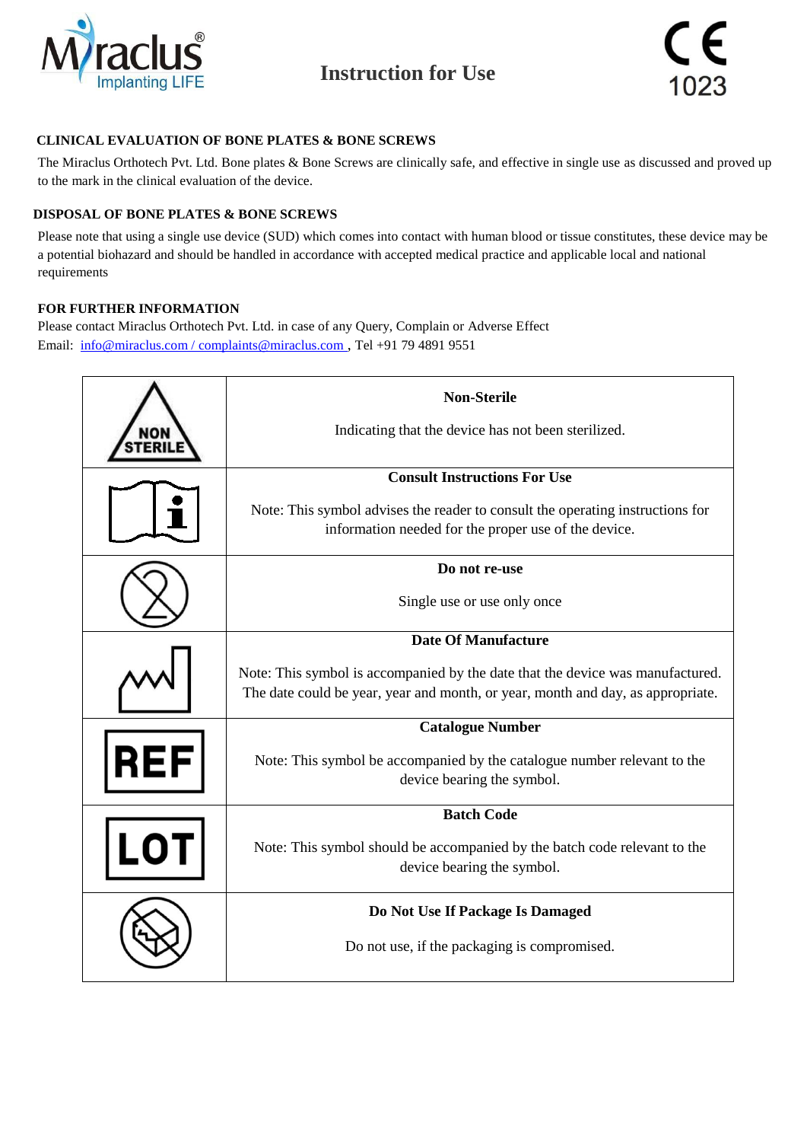



## **CLINICAL EVALUATION OF BONE PLATES & BONE SCREWS**

The Miraclus Orthotech Pvt. Ltd. Bone plates & Bone Screws are clinically safe, and effective in single use as discussed and proved up to the mark in the clinical evaluation of the device.

### **DISPOSAL OF BONE PLATES & BONE SCREWS**

Please note that using a single use device (SUD) which comes into contact with human blood or tissue constitutes, these device may be a potential biohazard and should be handled in accordance with accepted medical practice and applicable local and national requirements

### **FOR FURTHER INFORMATION**

Please contact Miraclus Orthotech Pvt. Ltd. in case of any Query, Complain or Adverse Effect Email: [info@miraclus.com / complaints@miraclus.com](mailto:info@miraclus.com%20/%20complaints@miraclus.com) , Tel +91 79 4891 9551

|            | <b>Non-Sterile</b>                                                              |  |  |
|------------|---------------------------------------------------------------------------------|--|--|
|            | Indicating that the device has not been sterilized.                             |  |  |
|            | <b>Consult Instructions For Use</b>                                             |  |  |
|            | Note: This symbol advises the reader to consult the operating instructions for  |  |  |
|            | information needed for the proper use of the device.                            |  |  |
|            | Do not re-use                                                                   |  |  |
|            | Single use or use only once                                                     |  |  |
|            | <b>Date Of Manufacture</b>                                                      |  |  |
|            | Note: This symbol is accompanied by the date that the device was manufactured.  |  |  |
|            | The date could be year, year and month, or year, month and day, as appropriate. |  |  |
|            | <b>Catalogue Number</b>                                                         |  |  |
| <b>REF</b> | Note: This symbol be accompanied by the catalogue number relevant to the        |  |  |
|            | device bearing the symbol.                                                      |  |  |
|            | <b>Batch Code</b>                                                               |  |  |
|            | Note: This symbol should be accompanied by the batch code relevant to the       |  |  |
|            | device bearing the symbol.                                                      |  |  |
|            | Do Not Use If Package Is Damaged                                                |  |  |
|            | Do not use, if the packaging is compromised.                                    |  |  |
|            |                                                                                 |  |  |